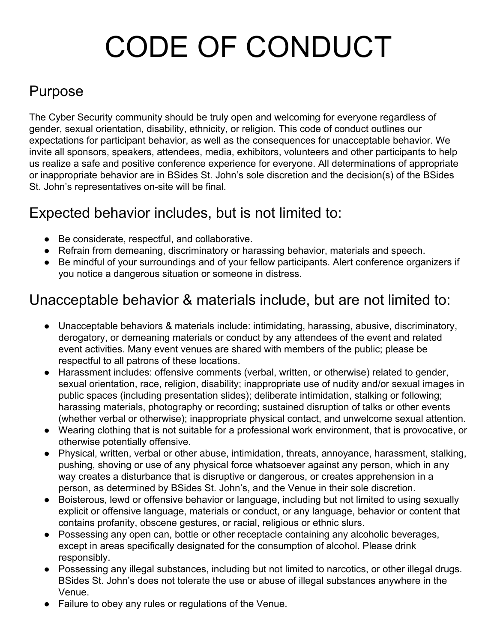# CODE OF CONDUCT

## Purpose

The Cyber Security community should be truly open and welcoming for everyone regardless of gender, sexual orientation, disability, ethnicity, or religion. This code of conduct outlines our expectations for participant behavior, as well as the consequences for unacceptable behavior. We invite all sponsors, speakers, attendees, media, exhibitors, volunteers and other participants to help us realize a safe and positive conference experience for everyone. All determinations of appropriate or inappropriate behavior are in BSides St. John's sole discretion and the decision(s) of the BSides St. John's representatives on-site will be final.

#### Expected behavior includes, but is not limited to:

- Be considerate, respectful, and collaborative.
- Refrain from demeaning, discriminatory or harassing behavior, materials and speech.
- Be mindful of your surroundings and of your fellow participants. Alert conference organizers if you notice a dangerous situation or someone in distress.

### Unacceptable behavior & materials include, but are not limited to:

- Unacceptable behaviors & materials include: intimidating, harassing, abusive, discriminatory, derogatory, or demeaning materials or conduct by any attendees of the event and related event activities. Many event venues are shared with members of the public; please be respectful to all patrons of these locations.
- Harassment includes: offensive comments (verbal, written, or otherwise) related to gender, sexual orientation, race, religion, disability; inappropriate use of nudity and/or sexual images in public spaces (including presentation slides); deliberate intimidation, stalking or following; harassing materials, photography or recording; sustained disruption of talks or other events (whether verbal or otherwise); inappropriate physical contact, and unwelcome sexual attention.
- Wearing clothing that is not suitable for a professional work environment, that is provocative, or otherwise potentially offensive.
- Physical, written, verbal or other abuse, intimidation, threats, annoyance, harassment, stalking, pushing, shoving or use of any physical force whatsoever against any person, which in any way creates a disturbance that is disruptive or dangerous, or creates apprehension in a person, as determined by BSides St. John's, and the Venue in their sole discretion.
- Boisterous, lewd or offensive behavior or language, including but not limited to using sexually explicit or offensive language, materials or conduct, or any language, behavior or content that contains profanity, obscene gestures, or racial, religious or ethnic slurs.
- Possessing any open can, bottle or other receptacle containing any alcoholic beverages, except in areas specifically designated for the consumption of alcohol. Please drink responsibly.
- Possessing any illegal substances, including but not limited to narcotics, or other illegal drugs. BSides St. John's does not tolerate the use or abuse of illegal substances anywhere in the Venue.
- Failure to obey any rules or regulations of the Venue.